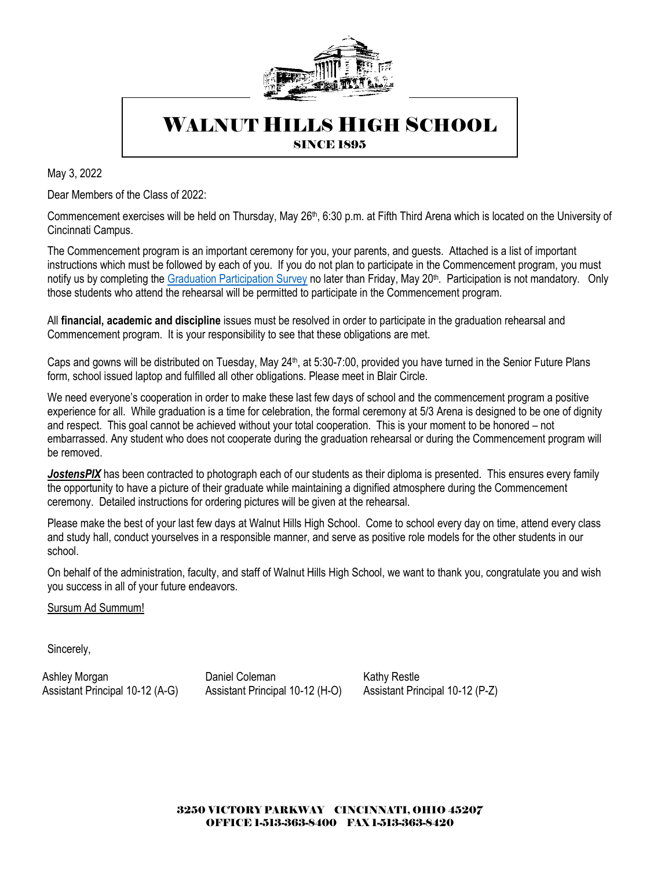

# WALNUT HILLS HIGH SCHOOL

**SINCE 1895** 

May 3, 2022

Dear Members of the Class of 2022:

Commencement exercises will be held on Thursday, May 26<sup>th</sup>, 6:30 p.m. at Fifth Third Arena which is located on the University of Cincinnati Campus.

The Commencement program is an important ceremony for you, your parents, and guests. Attached is a list of important instructions which must be followed by each of you. If you do not plan to participate in the Commencement program, you must notify us by completing the [Graduation Participation Survey](https://forms.gle/RRrU4uejtgcsh7paA) no later than Friday, May 20<sup>th</sup>. Participation is not mandatory. Only those students who attend the rehearsal will be permitted to participate in the Commencement program.

All **financial, academic and discipline** issues must be resolved in order to participate in the graduation rehearsal and Commencement program. It is your responsibility to see that these obligations are met.

Caps and gowns will be distributed on Tuesday, May 24<sup>th</sup>, at 5:30-7:00, provided you have turned in the Senior Future Plans form, school issued laptop and fulfilled all other obligations. Please meet in Blair Circle.

We need everyone's cooperation in order to make these last few days of school and the commencement program a positive experience for all. While graduation is a time for celebration, the formal ceremony at 5/3 Arena is designed to be one of dignity and respect. This goal cannot be achieved without your total cooperation. This is your moment to be honored – not embarrassed. Any student who does not cooperate during the graduation rehearsal or during the Commencement program will be removed.

*JostensPIX* has been contracted to photograph each of our students as their diploma is presented. This ensures every family the opportunity to have a picture of their graduate while maintaining a dignified atmosphere during the Commencement ceremony. Detailed instructions for ordering pictures will be given at the rehearsal.

Please make the best of your last few days at Walnut Hills High School. Come to school every day on time, attend every class and study hall, conduct yourselves in a responsible manner, and serve as positive role models for the other students in our school.

On behalf of the administration, faculty, and staff of Walnut Hills High School, we want to thank you, congratulate you and wish you success in all of your future endeavors.

Sursum Ad Summum!

Sincerely,

Ashley Morgan **National Coleman Coleman** Kathy Restle Assistant Principal 10-12 (A-G) Assistant Principal 10-12 (H-O) Assistant Principal 10-12 (P-Z)